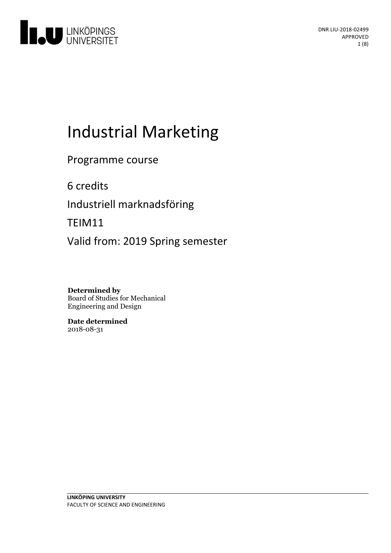

# Industrial Marketing

Programme course

6 credits

Industriell marknadsföring

TEIM11

Valid from: 2019 Spring semester

**Determined by** Board of Studies for Mechanical Engineering and Design

**Date determined** 2018-08-31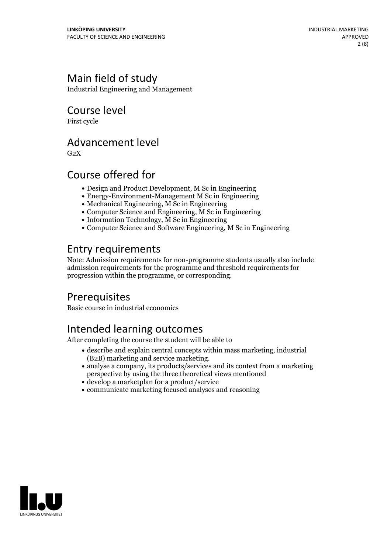# Main field of study

Industrial Engineering and Management

Course level

First cycle

### Advancement level

 $G<sub>2</sub>X$ 

# Course offered for

- Design and Product Development, M Sc in Engineering
- Energy-Environment-Management M Sc in Engineering
- Mechanical Engineering, M Sc in Engineering
- Computer Science and Engineering, M Sc in Engineering
- Information Technology, M Sc in Engineering
- Computer Science and Software Engineering, M Sc in Engineering

# Entry requirements

Note: Admission requirements for non-programme students usually also include admission requirements for the programme and threshold requirements for progression within the programme, or corresponding.

# Prerequisites

Basic course in industrial economics

# Intended learning outcomes

After completing the course the student will be able to

- describe and explain central concepts within mass marketing, industrial
- $\bullet$  analyse a company, its products/services and its context from a marketing. perspective by using the three theoretical views mentioned
- develop a marketplan for a product/service
- communicate marketing focused analyses and reasoning

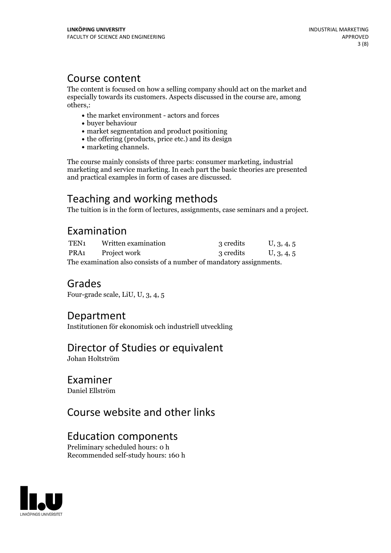### Course content

The content is focused on how a selling company should act on the market and especially towards its customers. Aspects discussed in the course are, among others,:

- the market environment actors and forces
- buyer behaviour
- market segmentation and product positioning
- the offering (products, price etc.) and its design
- marketing channels.

The course mainly consists of three parts: consumer marketing, industrial marketing and service marketing. In each part the basic theories are presented and practical examples in form of cases are discussed.

# Teaching and working methods

The tuition is in the form of lectures, assignments, case seminars and a project.

### Examination

| TEN1                                                                | Written examination | 3 credits | U, 3, 4, 5 |
|---------------------------------------------------------------------|---------------------|-----------|------------|
| PRA1                                                                | Project work        | 3 credits | U, 3, 4, 5 |
| The examination also consists of a number of mandatory assignments. |                     |           |            |

### Grades

Four-grade scale, LiU, U, 3, 4, 5

### Department

Institutionen för ekonomisk och industriell utveckling

### Director of Studies or equivalent

Johan Holtström

### Examiner

Daniel Ellström

# Course website and other links

### Education components

Preliminary scheduled hours: 0 h Recommended self-study hours: 160 h

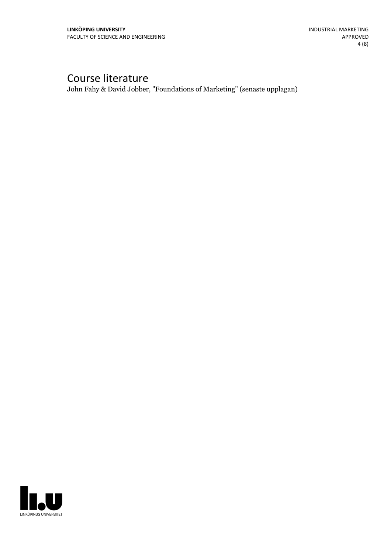# Course literature

John Fahy & David Jobber, "Foundations of Marketing" (senaste upplagan)

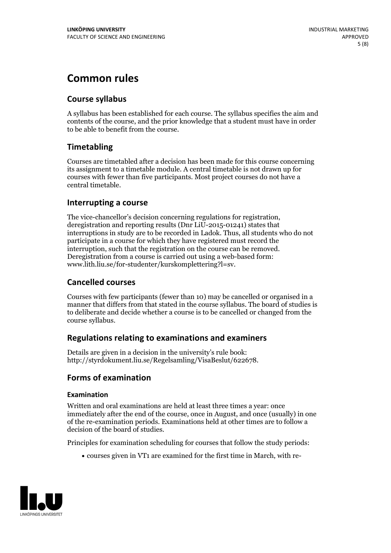# **Common rules**

### **Course syllabus**

A syllabus has been established for each course. The syllabus specifies the aim and contents of the course, and the prior knowledge that a student must have in order to be able to benefit from the course.

### **Timetabling**

Courses are timetabled after a decision has been made for this course concerning its assignment to a timetable module. A central timetable is not drawn up for courses with fewer than five participants. Most project courses do not have a central timetable.

### **Interrupting a course**

The vice-chancellor's decision concerning regulations for registration, deregistration and reporting results (Dnr LiU-2015-01241) states that interruptions in study are to be recorded in Ladok. Thus, all students who do not participate in a course for which they have registered must record the interruption, such that the registration on the course can be removed. Deregistration from <sup>a</sup> course is carried outusing <sup>a</sup> web-based form: www.lith.liu.se/for-studenter/kurskomplettering?l=sv.

### **Cancelled courses**

Courses with few participants (fewer than 10) may be cancelled or organised in a manner that differs from that stated in the course syllabus. The board of studies is to deliberate and decide whether a course is to be cancelled orchanged from the course syllabus.

### **Regulations relatingto examinations and examiners**

Details are given in a decision in the university's rule book: http://styrdokument.liu.se/Regelsamling/VisaBeslut/622678.

### **Forms of examination**

#### **Examination**

Written and oral examinations are held at least three times a year: once immediately after the end of the course, once in August, and once (usually) in one of the re-examination periods. Examinations held at other times are to follow a decision of the board of studies.

Principles for examination scheduling for courses that follow the study periods:

courses given in VT1 are examined for the first time in March, with re-

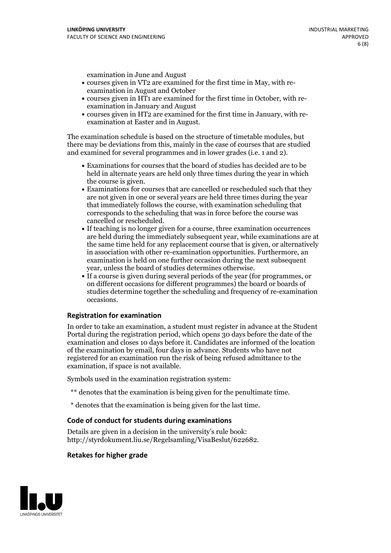examination in June and August

- courses given in VT2 are examined for the first time in May, with re-examination in August and October
- courses given in HT1 are examined for the first time in October, with re-examination in January and August
- courses given in HT2 are examined for the first time in January, with re-examination at Easter and in August.

The examination schedule is based on the structure of timetable modules, but there may be deviations from this, mainly in the case of courses that are studied and examined for several programmes and in lower grades (i.e. 1 and 2).

- Examinations for courses that the board of studies has decided are to be held in alternate years are held only three times during the year in which
- the course is given.<br>• Examinations for courses that are cancelled or rescheduled such that they are not given in one or several years are held three times during the year that immediately follows the course, with examination scheduling that corresponds to the scheduling that was in force before the course was cancelled or rescheduled.<br>• If teaching is no longer given for a course, three examination occurrences
- are held during the immediately subsequent year, while examinations are at the same time held for any replacement course that is given, or alternatively in association with other re-examination opportunities. Furthermore, an examination is held on one further occasion during the next subsequent year, unless the board of studies determines otherwise.<br>• If a course is given during several periods of the year (for programmes, or
- on different occasions for different programmes) the board orboards of studies determine together the scheduling and frequency of re-examination occasions.

#### **Registration for examination**

In order to take an examination, a student must register in advance at the Student Portal during the registration period, which opens 30 days before the date of the examination and closes 10 days before it. Candidates are informed of the location of the examination by email, four days in advance. Students who have not registered for an examination run the risk of being refused admittance to the examination, if space is not available.

Symbols used in the examination registration system:

- \*\* denotes that the examination is being given for the penultimate time.
- \* denotes that the examination is being given for the last time.

#### **Code of conduct for students during examinations**

Details are given in a decision in the university's rule book: http://styrdokument.liu.se/Regelsamling/VisaBeslut/622682.

#### **Retakes for higher grade**

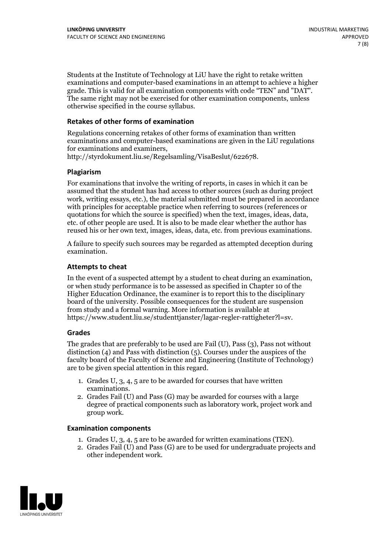Students at the Institute of Technology at LiU have the right to retake written examinations and computer-based examinations in an attempt to achieve a higher grade. This is valid for all examination components with code "TEN" and "DAT". The same right may not be exercised for other examination components, unless otherwise specified in the course syllabus.

#### **Retakes of other forms of examination**

Regulations concerning retakes of other forms of examination than written examinations and computer-based examinations are given in the LiU regulations for examinations and examiners, http://styrdokument.liu.se/Regelsamling/VisaBeslut/622678.

#### **Plagiarism**

For examinations that involve the writing of reports, in cases in which it can be assumed that the student has had access to other sources (such as during project work, writing essays, etc.), the material submitted must be prepared in accordance with principles for acceptable practice when referring to sources (references or quotations for which the source is specified) when the text, images, ideas, data, etc. of other people are used. It is also to be made clear whether the author has reused his or her own text, images, ideas, data, etc. from previous examinations.

A failure to specify such sources may be regarded as attempted deception during examination.

#### **Attempts to cheat**

In the event of <sup>a</sup> suspected attempt by <sup>a</sup> student to cheat during an examination, or when study performance is to be assessed as specified in Chapter <sup>10</sup> of the Higher Education Ordinance, the examiner is to report this to the disciplinary board of the university. Possible consequences for the student are suspension from study and a formal warning. More information is available at https://www.student.liu.se/studenttjanster/lagar-regler-rattigheter?l=sv.

#### **Grades**

The grades that are preferably to be used are Fail (U), Pass (3), Pass not without distinction  $(4)$  and Pass with distinction  $(5)$ . Courses under the auspices of the faculty board of the Faculty of Science and Engineering (Institute of Technology) are to be given special attention in this regard.

- 1. Grades U, 3, 4, 5 are to be awarded for courses that have written
- examinations. 2. Grades Fail (U) and Pass (G) may be awarded for courses with <sup>a</sup> large degree of practical components such as laboratory work, project work and group work.

#### **Examination components**

- 
- 1. Grades U, 3, 4, <sup>5</sup> are to be awarded for written examinations (TEN). 2. Grades Fail (U) and Pass (G) are to be used for undergraduate projects and other independent work.